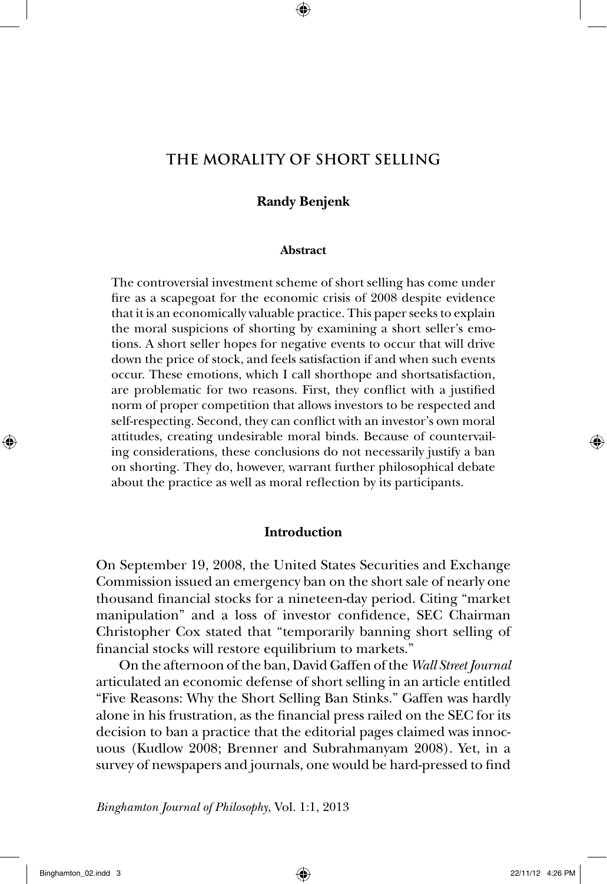# **THE MORALITY OF SHORT SELLING**

## **Randy Benjenk**

#### **Abstract**

The controversial investment scheme of short selling has come under fire as a scapegoat for the economic crisis of 2008 despite evidence that it is an economically valuable practice. This paper seeks to explain the moral suspicions of shorting by examining a short seller's emotions. A short seller hopes for negative events to occur that will drive down the price of stock, and feels satisfaction if and when such events occur. These emotions, which I call shorthope and shortsatisfaction, are problematic for two reasons. First, they conflict with a justified norm of proper competition that allows investors to be respected and self-respecting. Second, they can conflict with an investor's own moral attitudes, creating undesirable moral binds. Because of countervailing considerations, these conclusions do not necessarily justify a ban on shorting. They do, however, warrant further philosophical debate about the practice as well as moral reflection by its participants.

## **Introduction**

On September 19, 2008, the United States Securities and Exchange Commission issued an emergency ban on the short sale of nearly one thousand financial stocks for a nineteen-day period. Citing "market manipulation" and a loss of investor confidence, SEC Chairman Christopher Cox stated that "temporarily banning short selling of financial stocks will restore equilibrium to markets."

On the afternoon of the ban, David Gaffen of the *Wall Street Journal* articulated an economic defense of short selling in an article entitled "Five Reasons: Why the Short Selling Ban Stinks." Gaffen was hardly alone in his frustration, as the financial press railed on the SEC for its decision to ban a practice that the editorial pages claimed was innocuous (Kudlow 2008; Brenner and Subrahmanyam 2008). Yet, in a survey of newspapers and journals, one would be hard-pressed to find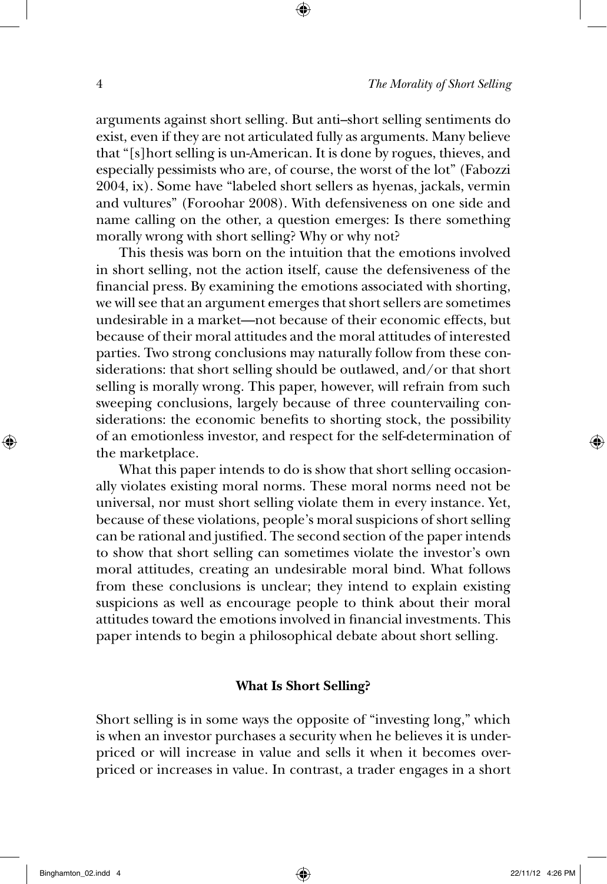arguments against short selling. But anti–short selling sentiments do exist, even if they are not articulated fully as arguments. Many believe that "[s]hort selling is un-American. It is done by rogues, thieves, and especially pessimists who are, of course, the worst of the lot" (Fabozzi 2004, ix). Some have "labeled short sellers as hyenas, jackals, vermin and vultures" (Foroohar 2008). With defensiveness on one side and name calling on the other, a question emerges: Is there something morally wrong with short selling? Why or why not?

This thesis was born on the intuition that the emotions involved in short selling, not the action itself, cause the defensiveness of the financial press. By examining the emotions associated with shorting, we will see that an argument emerges that short sellers are sometimes undesirable in a market—not because of their economic effects, but because of their moral attitudes and the moral attitudes of interested parties. Two strong conclusions may naturally follow from these considerations: that short selling should be outlawed, and/or that short selling is morally wrong. This paper, however, will refrain from such sweeping conclusions, largely because of three countervailing considerations: the economic benefits to shorting stock, the possibility of an emotionless investor, and respect for the self-determination of the marketplace.

What this paper intends to do is show that short selling occasionally violates existing moral norms. These moral norms need not be universal, nor must short selling violate them in every instance. Yet, because of these violations, people's moral suspicions of short selling can be rational and justified. The second section of the paper intends to show that short selling can sometimes violate the investor's own moral attitudes, creating an undesirable moral bind. What follows from these conclusions is unclear; they intend to explain existing suspicions as well as encourage people to think about their moral attitudes toward the emotions involved in financial investments. This paper intends to begin a philosophical debate about short selling.

### **What Is Short Selling?**

Short selling is in some ways the opposite of "investing long," which is when an investor purchases a security when he believes it is underpriced or will increase in value and sells it when it becomes overpriced or increases in value. In contrast, a trader engages in a short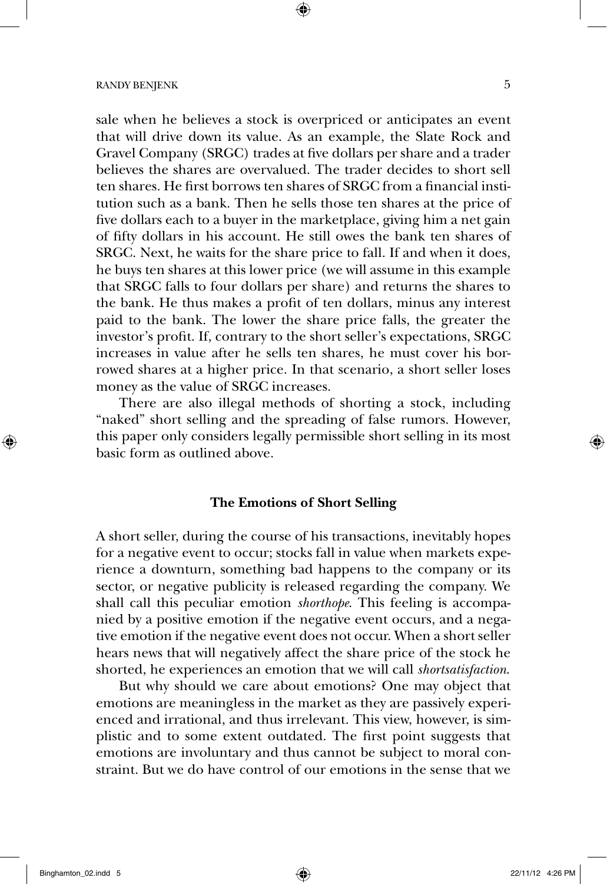sale when he believes a stock is overpriced or anticipates an event that will drive down its value. As an example, the Slate Rock and Gravel Company (SRGC) trades at five dollars per share and a trader believes the shares are overvalued. The trader decides to short sell ten shares. He first borrows ten shares of SRGC from a financial institution such as a bank. Then he sells those ten shares at the price of five dollars each to a buyer in the marketplace, giving him a net gain of fifty dollars in his account. He still owes the bank ten shares of SRGC. Next, he waits for the share price to fall. If and when it does, he buys ten shares at this lower price (we will assume in this example that SRGC falls to four dollars per share) and returns the shares to the bank. He thus makes a profit of ten dollars, minus any interest paid to the bank. The lower the share price falls, the greater the investor's profit. If, contrary to the short seller's expectations, SRGC increases in value after he sells ten shares, he must cover his borrowed shares at a higher price. In that scenario, a short seller loses money as the value of SRGC increases.

There are also illegal methods of shorting a stock, including "naked" short selling and the spreading of false rumors. However, this paper only considers legally permissible short selling in its most basic form as outlined above.

## **The Emotions of Short Selling**

A short seller, during the course of his transactions, inevitably hopes for a negative event to occur; stocks fall in value when markets experience a downturn, something bad happens to the company or its sector, or negative publicity is released regarding the company. We shall call this peculiar emotion *shorthope*. This feeling is accompanied by a positive emotion if the negative event occurs, and a negative emotion if the negative event does not occur. When a short seller hears news that will negatively affect the share price of the stock he shorted, he experiences an emotion that we will call *shortsatisfaction*.

But why should we care about emotions? One may object that emotions are meaningless in the market as they are passively experienced and irrational, and thus irrelevant. This view, however, is simplistic and to some extent outdated. The first point suggests that emotions are involuntary and thus cannot be subject to moral constraint. But we do have control of our emotions in the sense that we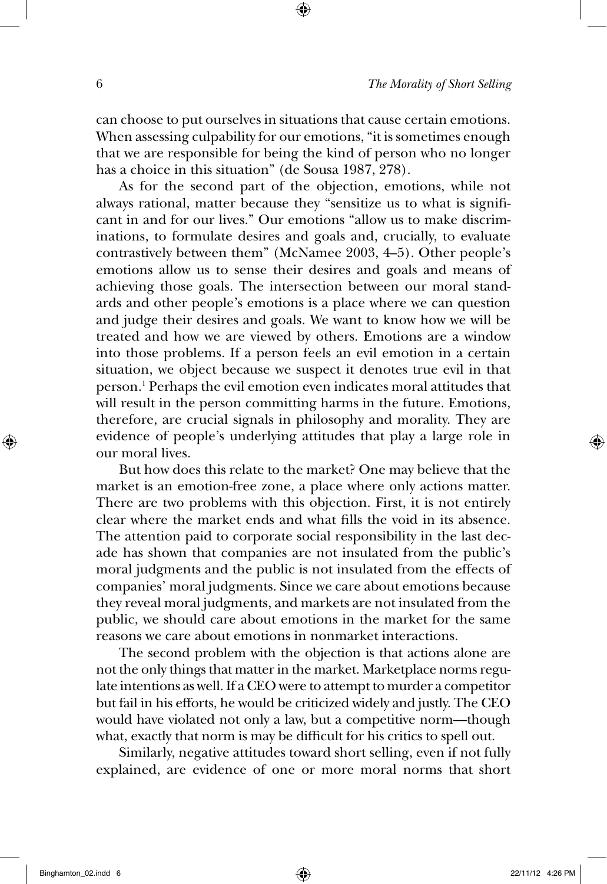can choose to put ourselves in situations that cause certain emotions. When assessing culpability for our emotions, "it is sometimes enough that we are responsible for being the kind of person who no longer has a choice in this situation" (de Sousa 1987, 278).

As for the second part of the objection, emotions, while not always rational, matter because they "sensitize us to what is significant in and for our lives." Our emotions "allow us to make discriminations, to formulate desires and goals and, crucially, to evaluate contrastively between them" (McNamee 2003, 4–5). Other people's emotions allow us to sense their desires and goals and means of achieving those goals. The intersection between our moral standards and other people's emotions is a place where we can question and judge their desires and goals. We want to know how we will be treated and how we are viewed by others. Emotions are a window into those problems. If a person feels an evil emotion in a certain situation, we object because we suspect it denotes true evil in that person.1 Perhaps the evil emotion even indicates moral attitudes that will result in the person committing harms in the future. Emotions, therefore, are crucial signals in philosophy and morality. They are evidence of people's underlying attitudes that play a large role in our moral lives.

But how does this relate to the market? One may believe that the market is an emotion-free zone, a place where only actions matter. There are two problems with this objection. First, it is not entirely clear where the market ends and what fills the void in its absence. The attention paid to corporate social responsibility in the last decade has shown that companies are not insulated from the public's moral judgments and the public is not insulated from the effects of companies' moral judgments. Since we care about emotions because they reveal moral judgments, and markets are not insulated from the public, we should care about emotions in the market for the same reasons we care about emotions in nonmarket interactions.

The second problem with the objection is that actions alone are not the only things that matter in the market. Marketplace norms regulate intentions as well. If a CEO were to attempt to murder a competitor but fail in his efforts, he would be criticized widely and justly. The CEO would have violated not only a law, but a competitive norm—though what, exactly that norm is may be difficult for his critics to spell out.

Similarly, negative attitudes toward short selling, even if not fully explained, are evidence of one or more moral norms that short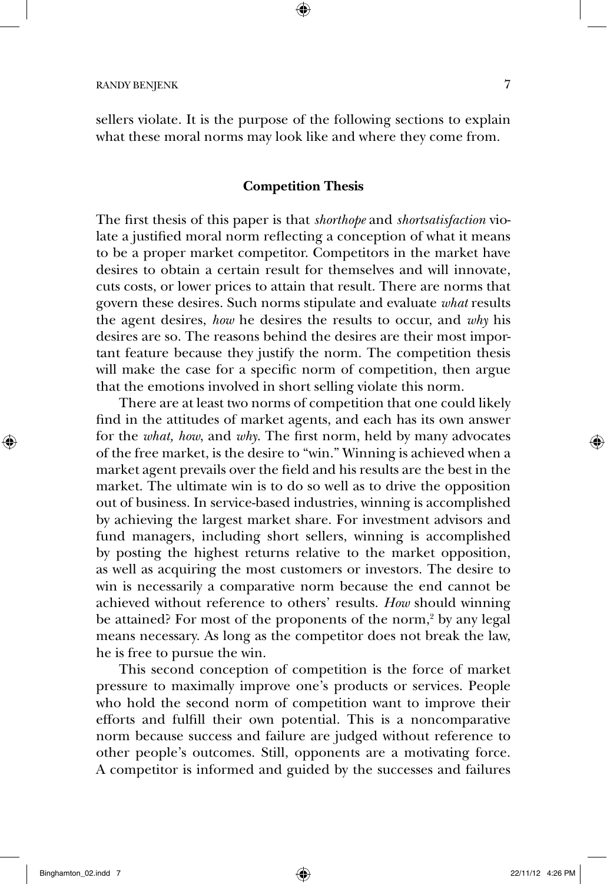sellers violate. It is the purpose of the following sections to explain what these moral norms may look like and where they come from.

#### **Competition Thesis**

The first thesis of this paper is that *shorthope* and *shortsatisfaction* violate a justified moral norm reflecting a conception of what it means to be a proper market competitor. Competitors in the market have desires to obtain a certain result for themselves and will innovate, cuts costs, or lower prices to attain that result. There are norms that govern these desires. Such norms stipulate and evaluate *what* results the agent desires, *how* he desires the results to occur, and *why* his desires are so. The reasons behind the desires are their most important feature because they justify the norm. The competition thesis will make the case for a specific norm of competition, then argue that the emotions involved in short selling violate this norm.

There are at least two norms of competition that one could likely find in the attitudes of market agents, and each has its own answer for the *what, how*, and *why*. The first norm, held by many advocates of the free market, is the desire to "win." Winning is achieved when a market agent prevails over the field and his results are the best in the market. The ultimate win is to do so well as to drive the opposition out of business. In service-based industries, winning is accomplished by achieving the largest market share. For investment advisors and fund managers, including short sellers, winning is accomplished by posting the highest returns relative to the market opposition, as well as acquiring the most customers or investors. The desire to win is necessarily a comparative norm because the end cannot be achieved without reference to others' results. *How* should winning be attained? For most of the proponents of the norm,<sup>2</sup> by any legal means necessary. As long as the competitor does not break the law, he is free to pursue the win.

This second conception of competition is the force of market pressure to maximally improve one's products or services. People who hold the second norm of competition want to improve their efforts and fulfill their own potential. This is a noncomparative norm because success and failure are judged without reference to other people's outcomes. Still, opponents are a motivating force. A competitor is informed and guided by the successes and failures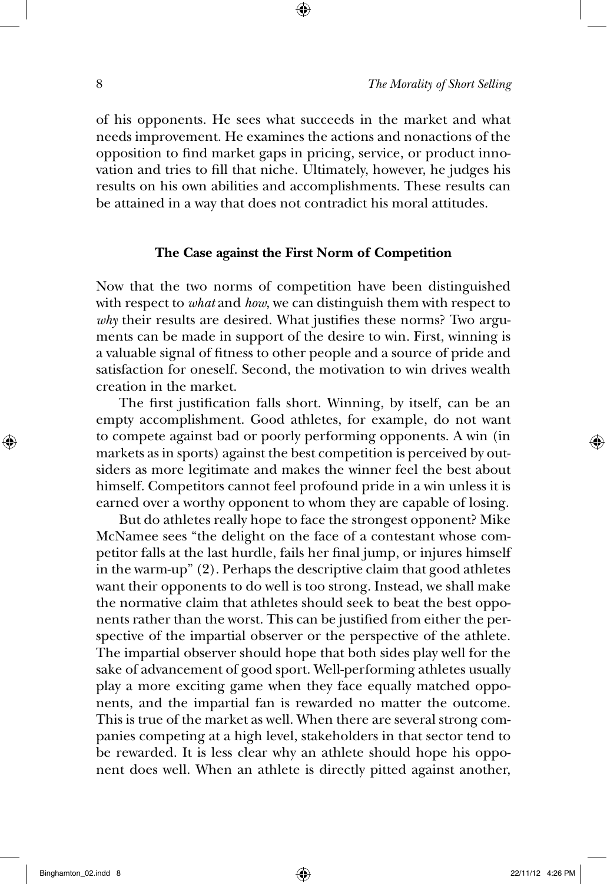of his opponents. He sees what succeeds in the market and what needs improvement. He examines the actions and nonactions of the opposition to find market gaps in pricing, service, or product innovation and tries to fill that niche. Ultimately, however, he judges his results on his own abilities and accomplishments. These results can be attained in a way that does not contradict his moral attitudes.

#### **The Case against the First Norm of Competition**

Now that the two norms of competition have been distinguished with respect to *what* and *how*, we can distinguish them with respect to *why* their results are desired. What justifies these norms? Two arguments can be made in support of the desire to win. First, winning is a valuable signal of fitness to other people and a source of pride and satisfaction for oneself. Second, the motivation to win drives wealth creation in the market.

The first justification falls short. Winning, by itself, can be an empty accomplishment. Good athletes, for example, do not want to compete against bad or poorly performing opponents. A win (in markets as in sports) against the best competition is perceived by outsiders as more legitimate and makes the winner feel the best about himself. Competitors cannot feel profound pride in a win unless it is earned over a worthy opponent to whom they are capable of losing.

But do athletes really hope to face the strongest opponent? Mike McNamee sees "the delight on the face of a contestant whose competitor falls at the last hurdle, fails her final jump, or injures himself in the warm-up" (2). Perhaps the descriptive claim that good athletes want their opponents to do well is too strong. Instead, we shall make the normative claim that athletes should seek to beat the best opponents rather than the worst. This can be justified from either the perspective of the impartial observer or the perspective of the athlete. The impartial observer should hope that both sides play well for the sake of advancement of good sport. Well-performing athletes usually play a more exciting game when they face equally matched opponents, and the impartial fan is rewarded no matter the outcome. This is true of the market as well. When there are several strong companies competing at a high level, stakeholders in that sector tend to be rewarded. It is less clear why an athlete should hope his opponent does well. When an athlete is directly pitted against another,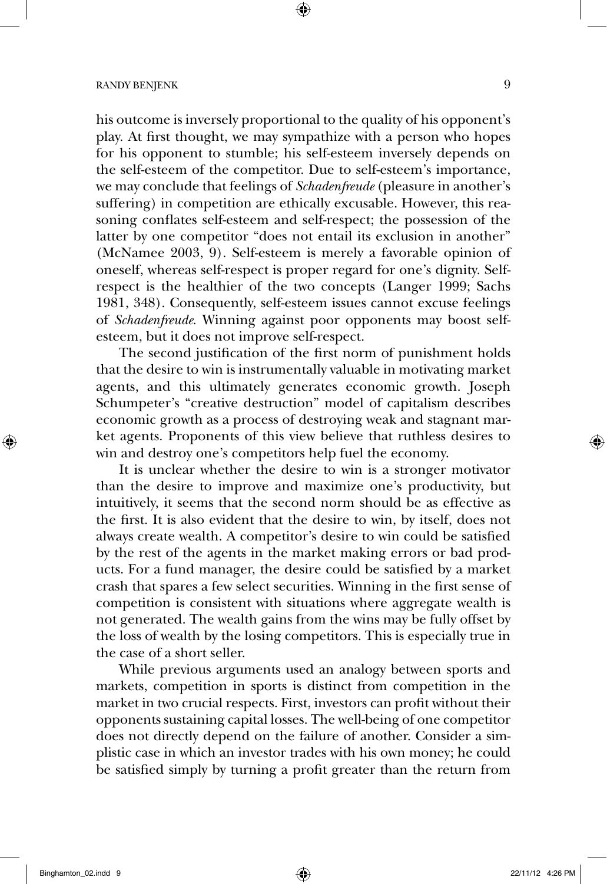his outcome is inversely proportional to the quality of his opponent's play. At first thought, we may sympathize with a person who hopes for his opponent to stumble; his self-esteem inversely depends on the self-esteem of the competitor. Due to self-esteem's importance, we may conclude that feelings of *Schadenfreude* (pleasure in another's suffering) in competition are ethically excusable. However, this reasoning conflates self-esteem and self-respect; the possession of the latter by one competitor "does not entail its exclusion in another" (McNamee 2003, 9). Self-esteem is merely a favorable opinion of oneself, whereas self-respect is proper regard for one's dignity. Selfrespect is the healthier of the two concepts (Langer 1999; Sachs 1981, 348). Consequently, self-esteem issues cannot excuse feelings of *Schadenfreude*. Winning against poor opponents may boost selfesteem, but it does not improve self-respect.

The second justification of the first norm of punishment holds that the desire to win is instrumentally valuable in motivating market agents, and this ultimately generates economic growth. Joseph Schumpeter's "creative destruction" model of capitalism describes economic growth as a process of destroying weak and stagnant market agents. Proponents of this view believe that ruthless desires to win and destroy one's competitors help fuel the economy.

It is unclear whether the desire to win is a stronger motivator than the desire to improve and maximize one's productivity, but intuitively, it seems that the second norm should be as effective as the first. It is also evident that the desire to win, by itself, does not always create wealth. A competitor's desire to win could be satisfied by the rest of the agents in the market making errors or bad products. For a fund manager, the desire could be satisfied by a market crash that spares a few select securities. Winning in the first sense of competition is consistent with situations where aggregate wealth is not generated. The wealth gains from the wins may be fully offset by the loss of wealth by the losing competitors. This is especially true in the case of a short seller.

While previous arguments used an analogy between sports and markets, competition in sports is distinct from competition in the market in two crucial respects. First, investors can profit without their opponents sustaining capital losses. The well-being of one competitor does not directly depend on the failure of another. Consider a simplistic case in which an investor trades with his own money; he could be satisfied simply by turning a profit greater than the return from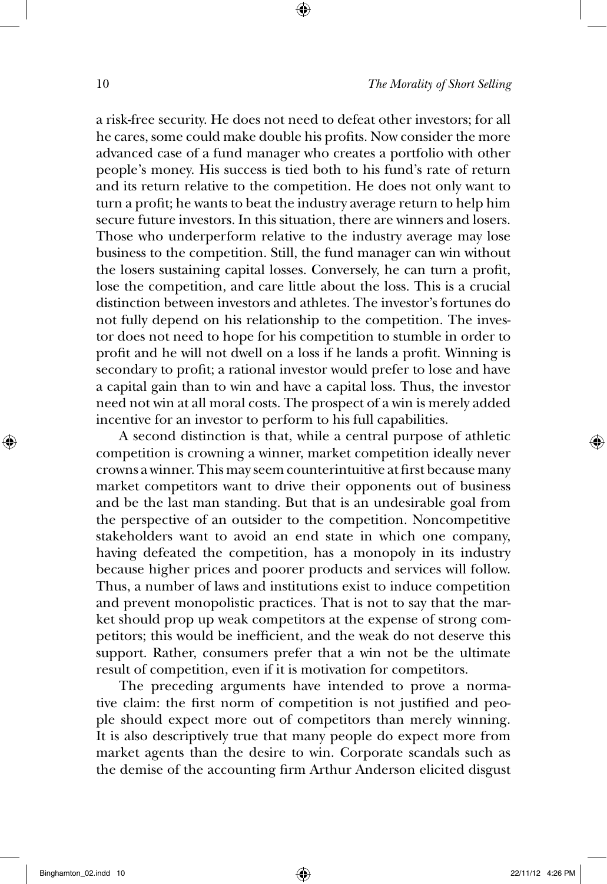a risk-free security. He does not need to defeat other investors; for all he cares, some could make double his profits. Now consider the more advanced case of a fund manager who creates a portfolio with other people's money. His success is tied both to his fund's rate of return and its return relative to the competition. He does not only want to turn a profit; he wants to beat the industry average return to help him secure future investors. In this situation, there are winners and losers. Those who underperform relative to the industry average may lose business to the competition. Still, the fund manager can win without the losers sustaining capital losses. Conversely, he can turn a profit, lose the competition, and care little about the loss. This is a crucial distinction between investors and athletes. The investor's fortunes do not fully depend on his relationship to the competition. The investor does not need to hope for his competition to stumble in order to profit and he will not dwell on a loss if he lands a profit. Winning is secondary to profit; a rational investor would prefer to lose and have a capital gain than to win and have a capital loss. Thus, the investor need not win at all moral costs. The prospect of a win is merely added incentive for an investor to perform to his full capabilities.

A second distinction is that, while a central purpose of athletic competition is crowning a winner, market competition ideally never crowns a winner. This may seem counterintuitive at first because many market competitors want to drive their opponents out of business and be the last man standing. But that is an undesirable goal from the perspective of an outsider to the competition. Noncompetitive stakeholders want to avoid an end state in which one company, having defeated the competition, has a monopoly in its industry because higher prices and poorer products and services will follow. Thus, a number of laws and institutions exist to induce competition and prevent monopolistic practices. That is not to say that the market should prop up weak competitors at the expense of strong competitors; this would be inefficient, and the weak do not deserve this support. Rather, consumers prefer that a win not be the ultimate result of competition, even if it is motivation for competitors.

The preceding arguments have intended to prove a normative claim: the first norm of competition is not justified and people should expect more out of competitors than merely winning. It is also descriptively true that many people do expect more from market agents than the desire to win. Corporate scandals such as the demise of the accounting firm Arthur Anderson elicited disgust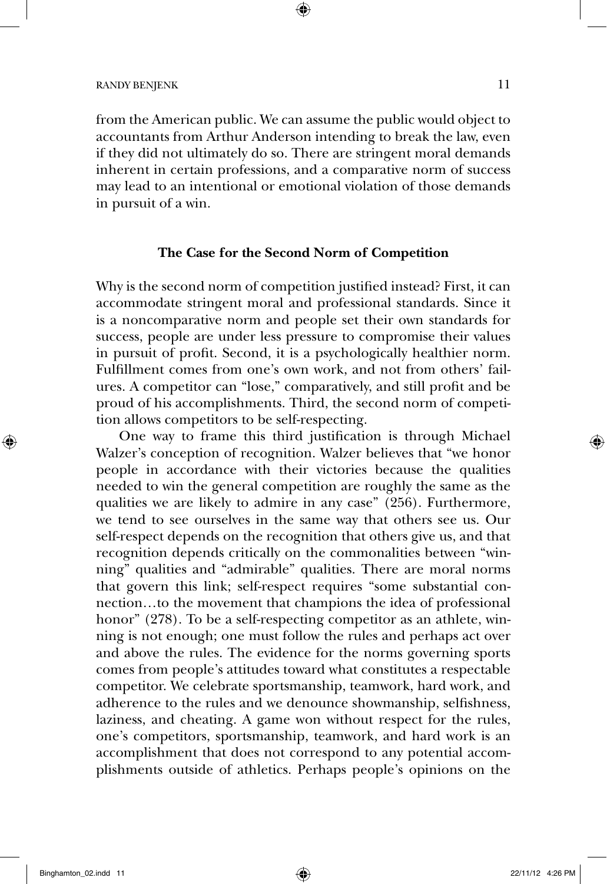from the American public. We can assume the public would object to accountants from Arthur Anderson intending to break the law, even if they did not ultimately do so. There are stringent moral demands inherent in certain professions, and a comparative norm of success may lead to an intentional or emotional violation of those demands in pursuit of a win.

#### **The Case for the Second Norm of Competition**

Why is the second norm of competition justified instead? First, it can accommodate stringent moral and professional standards. Since it is a noncomparative norm and people set their own standards for success, people are under less pressure to compromise their values in pursuit of profit. Second, it is a psychologically healthier norm. Fulfillment comes from one's own work, and not from others' failures. A competitor can "lose," comparatively, and still profit and be proud of his accomplishments. Third, the second norm of competition allows competitors to be self-respecting.

One way to frame this third justification is through Michael Walzer's conception of recognition. Walzer believes that "we honor people in accordance with their victories because the qualities needed to win the general competition are roughly the same as the qualities we are likely to admire in any case" (256). Furthermore, we tend to see ourselves in the same way that others see us. Our self-respect depends on the recognition that others give us, and that recognition depends critically on the commonalities between "winning" qualities and "admirable" qualities. There are moral norms that govern this link; self-respect requires "some substantial connection…to the movement that champions the idea of professional honor" (278). To be a self-respecting competitor as an athlete, winning is not enough; one must follow the rules and perhaps act over and above the rules. The evidence for the norms governing sports comes from people's attitudes toward what constitutes a respectable competitor. We celebrate sportsmanship, teamwork, hard work, and adherence to the rules and we denounce showmanship, selfishness, laziness, and cheating. A game won without respect for the rules, one's competitors, sportsmanship, teamwork, and hard work is an accomplishment that does not correspond to any potential accomplishments outside of athletics. Perhaps people's opinions on the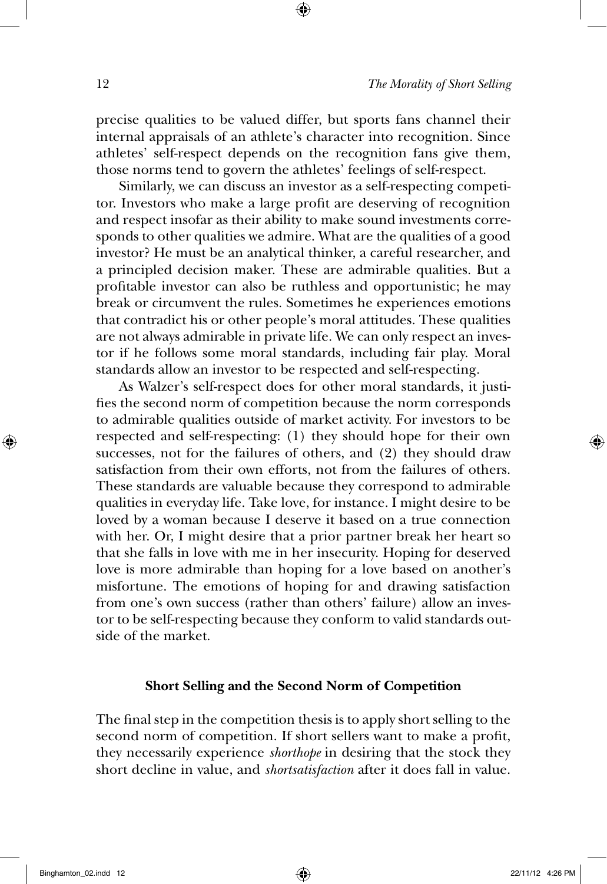precise qualities to be valued differ, but sports fans channel their internal appraisals of an athlete's character into recognition. Since athletes' self-respect depends on the recognition fans give them, those norms tend to govern the athletes' feelings of self-respect.

Similarly, we can discuss an investor as a self-respecting competitor. Investors who make a large profit are deserving of recognition and respect insofar as their ability to make sound investments corresponds to other qualities we admire. What are the qualities of a good investor? He must be an analytical thinker, a careful researcher, and a principled decision maker. These are admirable qualities. But a profitable investor can also be ruthless and opportunistic; he may break or circumvent the rules. Sometimes he experiences emotions that contradict his or other people's moral attitudes. These qualities are not always admirable in private life. We can only respect an investor if he follows some moral standards, including fair play. Moral standards allow an investor to be respected and self-respecting.

As Walzer's self-respect does for other moral standards, it justifies the second norm of competition because the norm corresponds to admirable qualities outside of market activity. For investors to be respected and self-respecting: (1) they should hope for their own successes, not for the failures of others, and (2) they should draw satisfaction from their own efforts, not from the failures of others. These standards are valuable because they correspond to admirable qualities in everyday life. Take love, for instance. I might desire to be loved by a woman because I deserve it based on a true connection with her. Or, I might desire that a prior partner break her heart so that she falls in love with me in her insecurity. Hoping for deserved love is more admirable than hoping for a love based on another's misfortune. The emotions of hoping for and drawing satisfaction from one's own success (rather than others' failure) allow an investor to be self-respecting because they conform to valid standards outside of the market.

### **Short Selling and the Second Norm of Competition**

The final step in the competition thesis is to apply short selling to the second norm of competition. If short sellers want to make a profit, they necessarily experience *shorthope* in desiring that the stock they short decline in value, and *shortsatisfaction* after it does fall in value.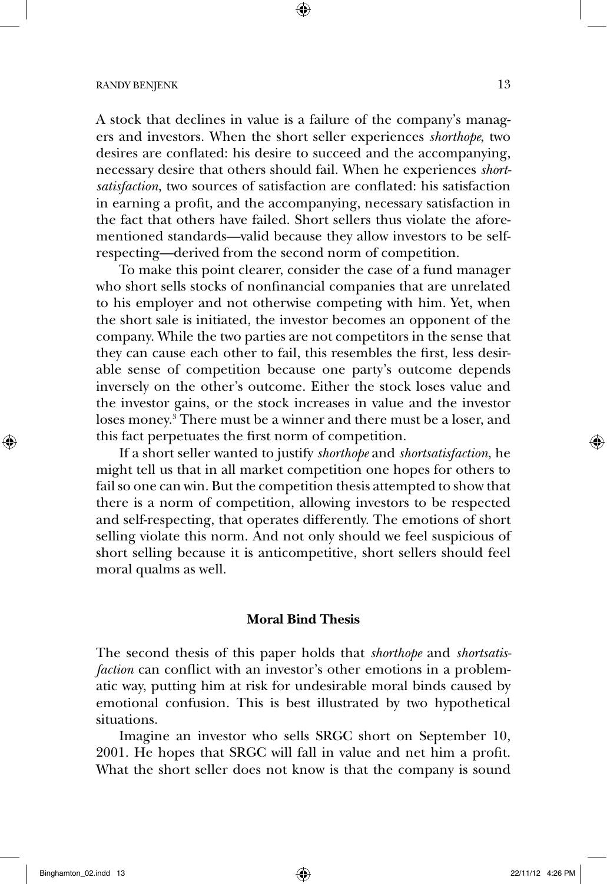A stock that declines in value is a failure of the company's managers and investors. When the short seller experiences *shorthope*, two desires are conflated: his desire to succeed and the accompanying, necessary desire that others should fail. When he experiences *shortsatisfaction*, two sources of satisfaction are conflated: his satisfaction in earning a profit, and the accompanying, necessary satisfaction in the fact that others have failed. Short sellers thus violate the aforementioned standards—valid because they allow investors to be selfrespecting—derived from the second norm of competition.

To make this point clearer, consider the case of a fund manager who short sells stocks of nonfinancial companies that are unrelated to his employer and not otherwise competing with him. Yet, when the short sale is initiated, the investor becomes an opponent of the company. While the two parties are not competitors in the sense that they can cause each other to fail, this resembles the first, less desirable sense of competition because one party's outcome depends inversely on the other's outcome. Either the stock loses value and the investor gains, or the stock increases in value and the investor loses money.<sup>3</sup> There must be a winner and there must be a loser, and this fact perpetuates the first norm of competition.

If a short seller wanted to justify *shorthope* and *shortsatisfaction*, he might tell us that in all market competition one hopes for others to fail so one can win. But the competition thesis attempted to show that there is a norm of competition, allowing investors to be respected and self-respecting, that operates differently. The emotions of short selling violate this norm. And not only should we feel suspicious of short selling because it is anticompetitive, short sellers should feel moral qualms as well.

#### **Moral Bind Thesis**

The second thesis of this paper holds that *shorthope* and *shortsatisfaction* can conflict with an investor's other emotions in a problematic way, putting him at risk for undesirable moral binds caused by emotional confusion. This is best illustrated by two hypothetical situations.

Imagine an investor who sells SRGC short on September 10, 2001. He hopes that SRGC will fall in value and net him a profit. What the short seller does not know is that the company is sound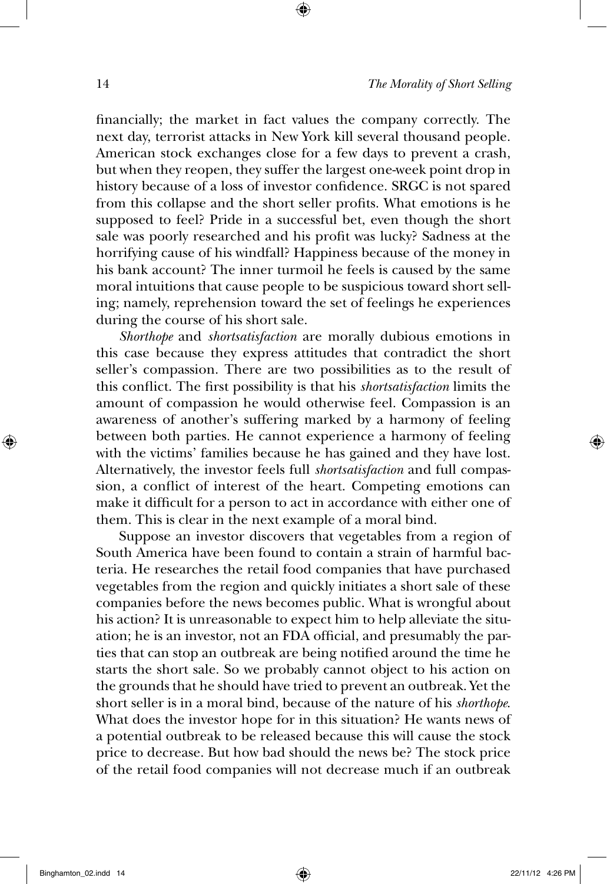financially; the market in fact values the company correctly. The next day, terrorist attacks in New York kill several thousand people. American stock exchanges close for a few days to prevent a crash, but when they reopen, they suffer the largest one-week point drop in history because of a loss of investor confidence. SRGC is not spared from this collapse and the short seller profits. What emotions is he supposed to feel? Pride in a successful bet, even though the short sale was poorly researched and his profit was lucky? Sadness at the horrifying cause of his windfall? Happiness because of the money in his bank account? The inner turmoil he feels is caused by the same moral intuitions that cause people to be suspicious toward short selling; namely, reprehension toward the set of feelings he experiences during the course of his short sale.

*Shorthope* and *shortsatisfaction* are morally dubious emotions in this case because they express attitudes that contradict the short seller's compassion. There are two possibilities as to the result of this conflict. The first possibility is that his *shortsatisfaction* limits the amount of compassion he would otherwise feel. Compassion is an awareness of another's suffering marked by a harmony of feeling between both parties. He cannot experience a harmony of feeling with the victims' families because he has gained and they have lost. Alternatively, the investor feels full *shortsatisfaction* and full compassion, a conflict of interest of the heart. Competing emotions can make it difficult for a person to act in accordance with either one of them. This is clear in the next example of a moral bind.

Suppose an investor discovers that vegetables from a region of South America have been found to contain a strain of harmful bacteria. He researches the retail food companies that have purchased vegetables from the region and quickly initiates a short sale of these companies before the news becomes public. What is wrongful about his action? It is unreasonable to expect him to help alleviate the situation; he is an investor, not an FDA official, and presumably the parties that can stop an outbreak are being notified around the time he starts the short sale. So we probably cannot object to his action on the grounds that he should have tried to prevent an outbreak. Yet the short seller is in a moral bind, because of the nature of his *shorthope*. What does the investor hope for in this situation? He wants news of a potential outbreak to be released because this will cause the stock price to decrease. But how bad should the news be? The stock price of the retail food companies will not decrease much if an outbreak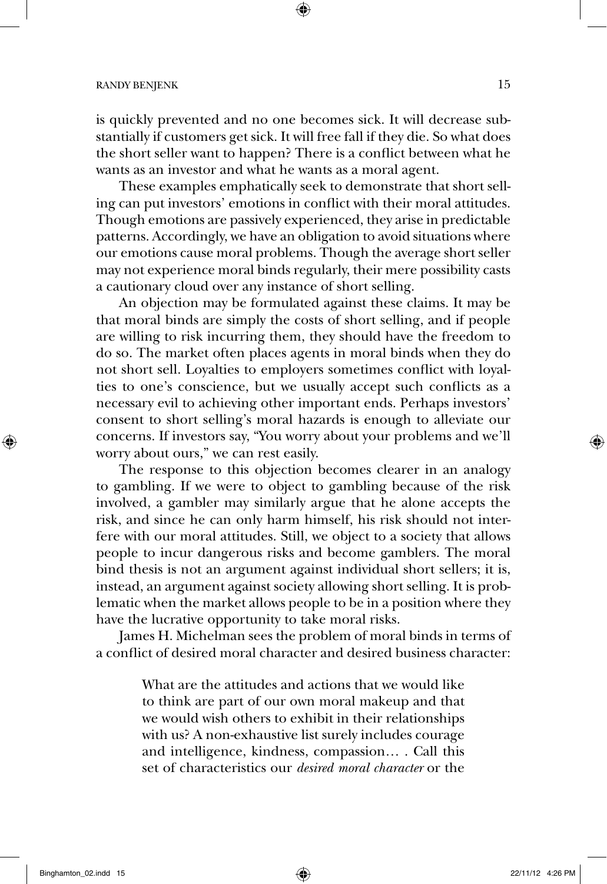is quickly prevented and no one becomes sick. It will decrease substantially if customers get sick. It will free fall if they die. So what does the short seller want to happen? There is a conflict between what he wants as an investor and what he wants as a moral agent.

These examples emphatically seek to demonstrate that short selling can put investors' emotions in conflict with their moral attitudes. Though emotions are passively experienced, they arise in predictable patterns. Accordingly, we have an obligation to avoid situations where our emotions cause moral problems. Though the average short seller may not experience moral binds regularly, their mere possibility casts a cautionary cloud over any instance of short selling.

An objection may be formulated against these claims. It may be that moral binds are simply the costs of short selling, and if people are willing to risk incurring them, they should have the freedom to do so. The market often places agents in moral binds when they do not short sell. Loyalties to employers sometimes conflict with loyalties to one's conscience, but we usually accept such conflicts as a necessary evil to achieving other important ends. Perhaps investors' consent to short selling's moral hazards is enough to alleviate our concerns. If investors say, "You worry about your problems and we'll worry about ours," we can rest easily.

The response to this objection becomes clearer in an analogy to gambling. If we were to object to gambling because of the risk involved, a gambler may similarly argue that he alone accepts the risk, and since he can only harm himself, his risk should not interfere with our moral attitudes. Still, we object to a society that allows people to incur dangerous risks and become gamblers. The moral bind thesis is not an argument against individual short sellers; it is, instead, an argument against society allowing short selling. It is problematic when the market allows people to be in a position where they have the lucrative opportunity to take moral risks.

James H. Michelman sees the problem of moral binds in terms of a conflict of desired moral character and desired business character:

> What are the attitudes and actions that we would like to think are part of our own moral makeup and that we would wish others to exhibit in their relationships with us? A non-exhaustive list surely includes courage and intelligence, kindness, compassion… . Call this set of characteristics our *desired moral character* or the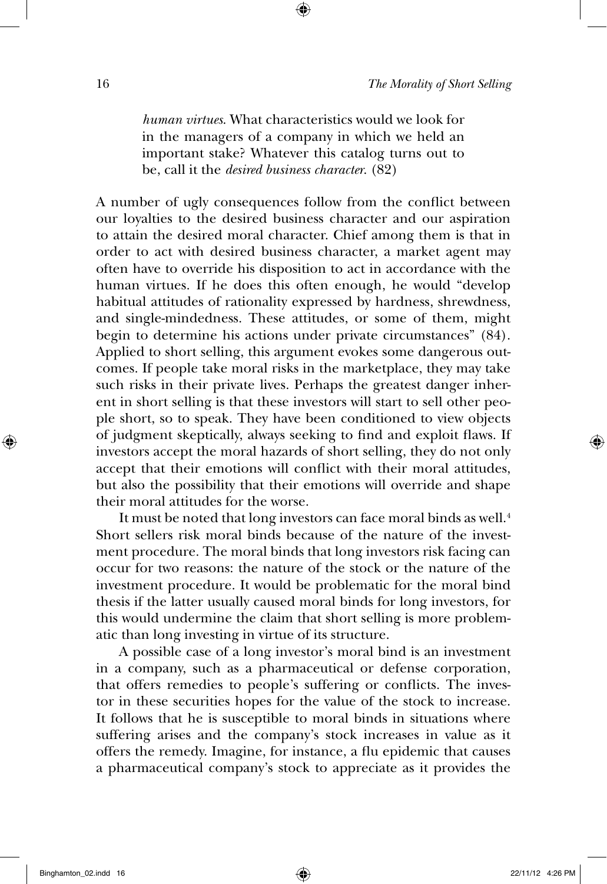*human virtues*. What characteristics would we look for in the managers of a company in which we held an important stake? Whatever this catalog turns out to be, call it the *desired business character*. (82)

A number of ugly consequences follow from the conflict between our loyalties to the desired business character and our aspiration to attain the desired moral character. Chief among them is that in order to act with desired business character, a market agent may often have to override his disposition to act in accordance with the human virtues. If he does this often enough, he would "develop habitual attitudes of rationality expressed by hardness, shrewdness, and single-mindedness. These attitudes, or some of them, might begin to determine his actions under private circumstances" (84). Applied to short selling, this argument evokes some dangerous outcomes. If people take moral risks in the marketplace, they may take such risks in their private lives. Perhaps the greatest danger inherent in short selling is that these investors will start to sell other people short, so to speak. They have been conditioned to view objects of judgment skeptically, always seeking to find and exploit flaws. If investors accept the moral hazards of short selling, they do not only accept that their emotions will conflict with their moral attitudes, but also the possibility that their emotions will override and shape their moral attitudes for the worse.

It must be noted that long investors can face moral binds as well.<sup>4</sup> Short sellers risk moral binds because of the nature of the investment procedure. The moral binds that long investors risk facing can occur for two reasons: the nature of the stock or the nature of the investment procedure. It would be problematic for the moral bind thesis if the latter usually caused moral binds for long investors, for this would undermine the claim that short selling is more problematic than long investing in virtue of its structure.

A possible case of a long investor's moral bind is an investment in a company, such as a pharmaceutical or defense corporation, that offers remedies to people's suffering or conflicts. The investor in these securities hopes for the value of the stock to increase. It follows that he is susceptible to moral binds in situations where suffering arises and the company's stock increases in value as it offers the remedy. Imagine, for instance, a flu epidemic that causes a pharmaceutical company's stock to appreciate as it provides the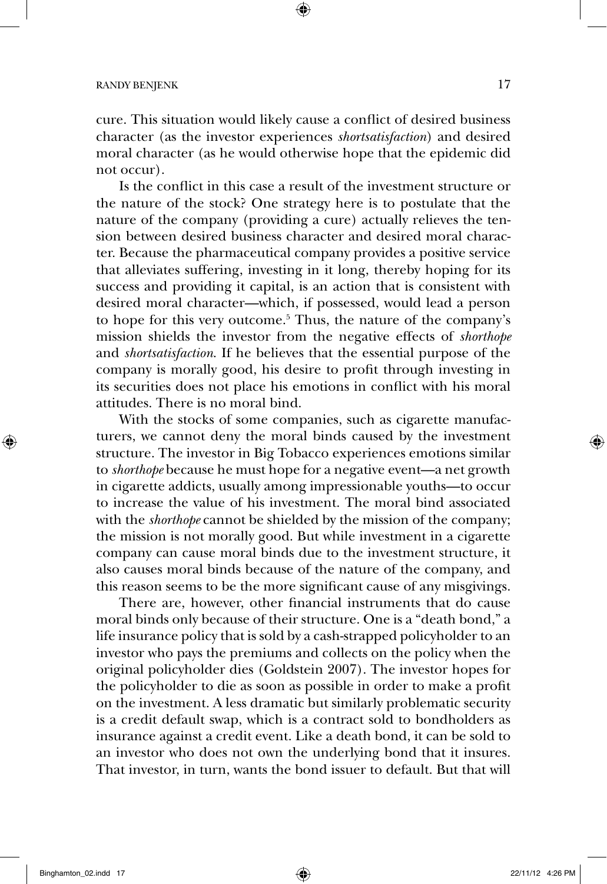cure. This situation would likely cause a conflict of desired business character (as the investor experiences *shortsatisfaction*) and desired moral character (as he would otherwise hope that the epidemic did not occur).

Is the conflict in this case a result of the investment structure or the nature of the stock? One strategy here is to postulate that the nature of the company (providing a cure) actually relieves the tension between desired business character and desired moral character. Because the pharmaceutical company provides a positive service that alleviates suffering, investing in it long, thereby hoping for its success and providing it capital, is an action that is consistent with desired moral character—which, if possessed, would lead a person to hope for this very outcome.<sup>5</sup> Thus, the nature of the company's mission shields the investor from the negative effects of *shorthope* and *shortsatisfaction*. If he believes that the essential purpose of the company is morally good, his desire to profit through investing in its securities does not place his emotions in conflict with his moral attitudes. There is no moral bind.

With the stocks of some companies, such as cigarette manufacturers, we cannot deny the moral binds caused by the investment structure. The investor in Big Tobacco experiences emotions similar to *shorthope* because he must hope for a negative event—a net growth in cigarette addicts, usually among impressionable youths—to occur to increase the value of his investment. The moral bind associated with the *shorthope* cannot be shielded by the mission of the company; the mission is not morally good. But while investment in a cigarette company can cause moral binds due to the investment structure, it also causes moral binds because of the nature of the company, and this reason seems to be the more significant cause of any misgivings.

There are, however, other financial instruments that do cause moral binds only because of their structure. One is a "death bond," a life insurance policy that is sold by a cash-strapped policyholder to an investor who pays the premiums and collects on the policy when the original policyholder dies (Goldstein 2007). The investor hopes for the policyholder to die as soon as possible in order to make a profit on the investment. A less dramatic but similarly problematic security is a credit default swap, which is a contract sold to bondholders as insurance against a credit event. Like a death bond, it can be sold to an investor who does not own the underlying bond that it insures. That investor, in turn, wants the bond issuer to default. But that will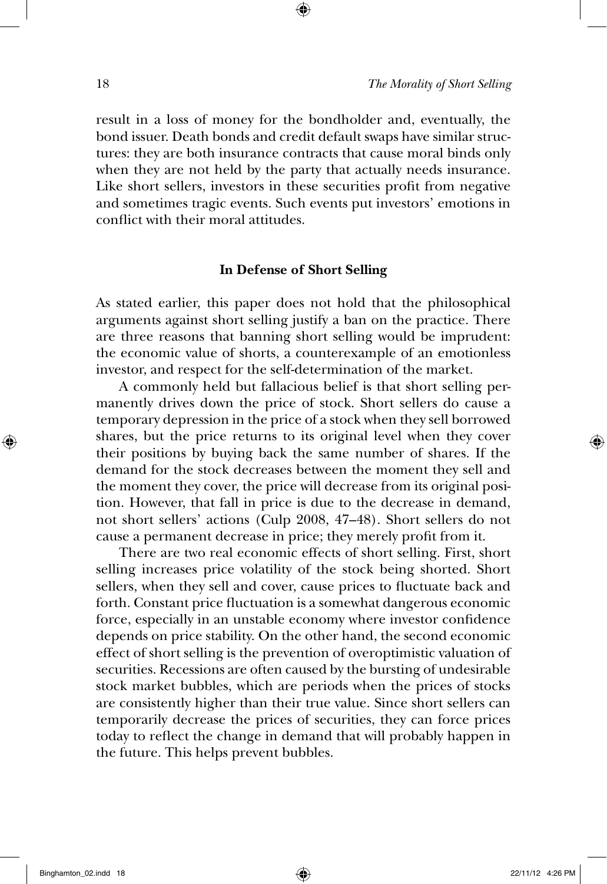result in a loss of money for the bondholder and, eventually, the bond issuer. Death bonds and credit default swaps have similar structures: they are both insurance contracts that cause moral binds only when they are not held by the party that actually needs insurance. Like short sellers, investors in these securities profit from negative and sometimes tragic events. Such events put investors' emotions in conflict with their moral attitudes.

#### **In Defense of Short Selling**

As stated earlier, this paper does not hold that the philosophical arguments against short selling justify a ban on the practice. There are three reasons that banning short selling would be imprudent: the economic value of shorts, a counterexample of an emotionless investor, and respect for the self-determination of the market.

A commonly held but fallacious belief is that short selling permanently drives down the price of stock. Short sellers do cause a temporary depression in the price of a stock when they sell borrowed shares, but the price returns to its original level when they cover their positions by buying back the same number of shares. If the demand for the stock decreases between the moment they sell and the moment they cover, the price will decrease from its original position. However, that fall in price is due to the decrease in demand, not short sellers' actions (Culp 2008, 47–48). Short sellers do not cause a permanent decrease in price; they merely profit from it.

There are two real economic effects of short selling. First, short selling increases price volatility of the stock being shorted. Short sellers, when they sell and cover, cause prices to fluctuate back and forth. Constant price fluctuation is a somewhat dangerous economic force, especially in an unstable economy where investor confidence depends on price stability. On the other hand, the second economic effect of short selling is the prevention of overoptimistic valuation of securities. Recessions are often caused by the bursting of undesirable stock market bubbles, which are periods when the prices of stocks are consistently higher than their true value. Since short sellers can temporarily decrease the prices of securities, they can force prices today to reflect the change in demand that will probably happen in the future. This helps prevent bubbles.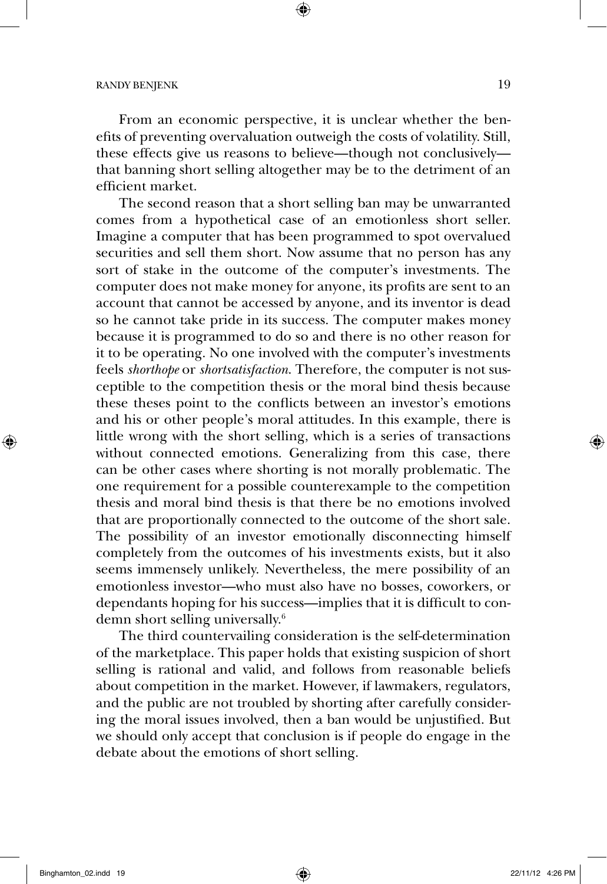From an economic perspective, it is unclear whether the benefits of preventing overvaluation outweigh the costs of volatility. Still, these effects give us reasons to believe—though not conclusively that banning short selling altogether may be to the detriment of an efficient market.

The second reason that a short selling ban may be unwarranted comes from a hypothetical case of an emotionless short seller. Imagine a computer that has been programmed to spot overvalued securities and sell them short. Now assume that no person has any sort of stake in the outcome of the computer's investments. The computer does not make money for anyone, its profits are sent to an account that cannot be accessed by anyone, and its inventor is dead so he cannot take pride in its success. The computer makes money because it is programmed to do so and there is no other reason for it to be operating. No one involved with the computer's investments feels *shorthope* or *shortsatisfaction*. Therefore, the computer is not susceptible to the competition thesis or the moral bind thesis because these theses point to the conflicts between an investor's emotions and his or other people's moral attitudes. In this example, there is little wrong with the short selling, which is a series of transactions without connected emotions. Generalizing from this case, there can be other cases where shorting is not morally problematic. The one requirement for a possible counterexample to the competition thesis and moral bind thesis is that there be no emotions involved that are proportionally connected to the outcome of the short sale. The possibility of an investor emotionally disconnecting himself completely from the outcomes of his investments exists, but it also seems immensely unlikely. Nevertheless, the mere possibility of an emotionless investor—who must also have no bosses, coworkers, or dependants hoping for his success—implies that it is difficult to condemn short selling universally.6

The third countervailing consideration is the self-determination of the marketplace. This paper holds that existing suspicion of short selling is rational and valid, and follows from reasonable beliefs about competition in the market. However, if lawmakers, regulators, and the public are not troubled by shorting after carefully considering the moral issues involved, then a ban would be unjustified. But we should only accept that conclusion is if people do engage in the debate about the emotions of short selling.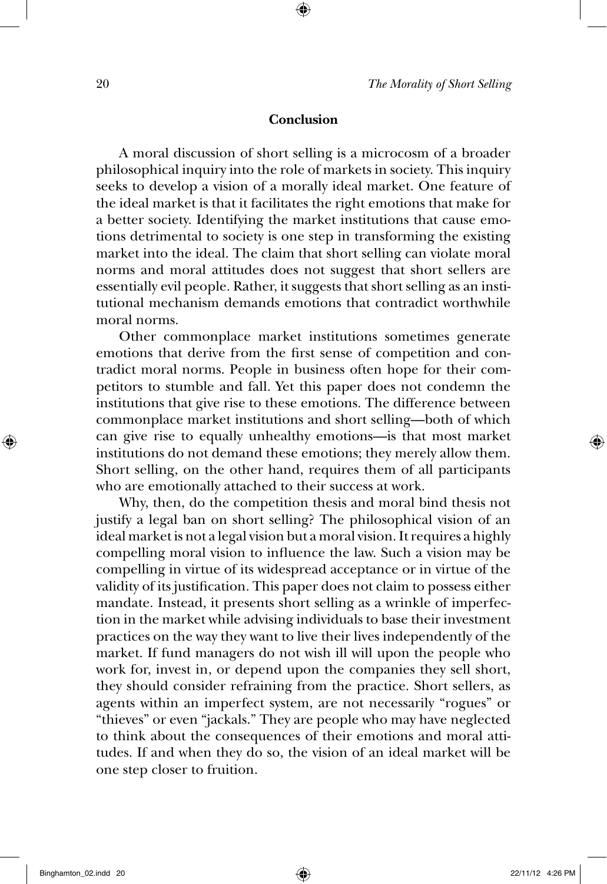#### **Conclusion**

A moral discussion of short selling is a microcosm of a broader philosophical inquiry into the role of markets in society. This inquiry seeks to develop a vision of a morally ideal market. One feature of the ideal market is that it facilitates the right emotions that make for a better society. Identifying the market institutions that cause emotions detrimental to society is one step in transforming the existing market into the ideal. The claim that short selling can violate moral norms and moral attitudes does not suggest that short sellers are essentially evil people. Rather, it suggests that short selling as an institutional mechanism demands emotions that contradict worthwhile moral norms.

Other commonplace market institutions sometimes generate emotions that derive from the first sense of competition and contradict moral norms. People in business often hope for their competitors to stumble and fall. Yet this paper does not condemn the institutions that give rise to these emotions. The difference between commonplace market institutions and short selling—both of which can give rise to equally unhealthy emotions—is that most market institutions do not demand these emotions; they merely allow them. Short selling, on the other hand, requires them of all participants who are emotionally attached to their success at work.

Why, then, do the competition thesis and moral bind thesis not justify a legal ban on short selling? The philosophical vision of an ideal market is not a legal vision but a moral vision. It requires a highly compelling moral vision to influence the law. Such a vision may be compelling in virtue of its widespread acceptance or in virtue of the validity of its justification. This paper does not claim to possess either mandate. Instead, it presents short selling as a wrinkle of imperfection in the market while advising individuals to base their investment practices on the way they want to live their lives independently of the market. If fund managers do not wish ill will upon the people who work for, invest in, or depend upon the companies they sell short, they should consider refraining from the practice. Short sellers, as agents within an imperfect system, are not necessarily "rogues" or "thieves" or even "jackals." They are people who may have neglected to think about the consequences of their emotions and moral attitudes. If and when they do so, the vision of an ideal market will be one step closer to fruition.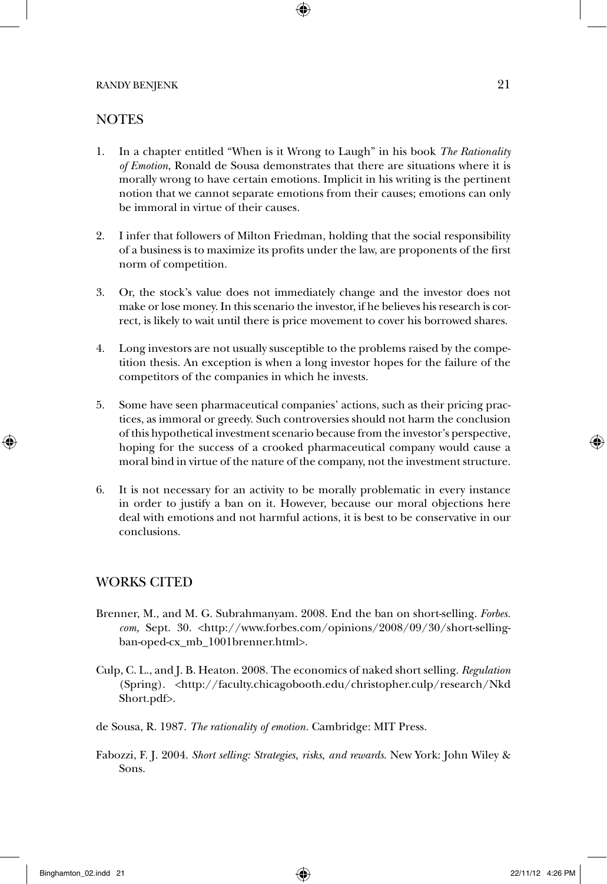## **NOTES**

- 1. In a chapter entitled "When is it Wrong to Laugh" in his book *The Rationality of Emotion*, Ronald de Sousa demonstrates that there are situations where it is morally wrong to have certain emotions. Implicit in his writing is the pertinent notion that we cannot separate emotions from their causes; emotions can only be immoral in virtue of their causes.
- 2. I infer that followers of Milton Friedman, holding that the social responsibility of a business is to maximize its profits under the law, are proponents of the first norm of competition.
- 3. Or, the stock's value does not immediately change and the investor does not make or lose money. In this scenario the investor, if he believes his research is correct, is likely to wait until there is price movement to cover his borrowed shares.
- 4. Long investors are not usually susceptible to the problems raised by the competition thesis. An exception is when a long investor hopes for the failure of the competitors of the companies in which he invests.
- 5. Some have seen pharmaceutical companies' actions, such as their pricing practices, as immoral or greedy. Such controversies should not harm the conclusion of this hypothetical investment scenario because from the investor's perspective, hoping for the success of a crooked pharmaceutical company would cause a moral bind in virtue of the nature of the company, not the investment structure.
- 6. It is not necessary for an activity to be morally problematic in every instance in order to justify a ban on it. However, because our moral objections here deal with emotions and not harmful actions, it is best to be conservative in our conclusions.

## WORKS CITED

- Brenner, M., and M. G. Subrahmanyam. 2008. End the ban on short-selling. *Forbes. com,* Sept. 30. <http://www.forbes.com/opinions/2008/09/30/short-sellingban-oped-cx\_mb\_1001brenner.html>.
- Culp, C. L., and J. B. Heaton. 2008. The economics of naked short selling. *Regulation* (Spring). <http://faculty.chicagobooth.edu/christopher.culp/research/Nkd Short.pdf>.

de Sousa, R. 1987. *The rationality of emotion.* Cambridge: MIT Press.

Fabozzi, F. J. 2004. *Short selling: Strategies, risks, and rewards*. New York: John Wiley & Sons.